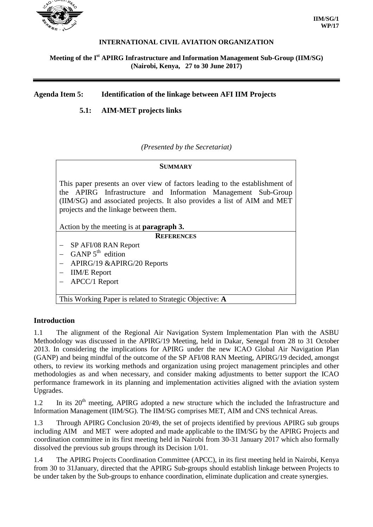

#### **INTERNATIONAL CIVIL AVIATION ORGANIZATION**

### **Meeting of the I st APIRG Infrastructure and Information Management Sub-Group (IIM/SG) (Nairobi, Kenya, 27 to 30 June 2017)**

### **Agenda Item 5: Identification of the linkage between AFI IIM Projects**

 **5.1: AIM-MET projects links**

*(Presented by the Secretariat)*

This paper presents an over view of factors leading to the establishment of the APIRG Infrastructure and Information Management Sub-Group (IIM/SG) and associated projects. It also provides a list of AIM and MET projects and the linkage between them.

Action by the meeting is at **paragraph 3.**

**REFERENCES**

- − SP AFI/08 RAN Report
- GANP  $5<sup>th</sup>$  edition
- − APIRG/19 &APIRG/20 Reports
- − IIM/E Report
- − APCC/1 Report

This Working Paper is related to Strategic Objective: **A**

## **Introduction**

1.1 The alignment of the Regional Air Navigation System Implementation Plan with the ASBU Methodology was discussed in the APIRG/19 Meeting, held in Dakar, Senegal from 28 to 31 October 2013. In considering the implications for APIRG under the new ICAO Global Air Navigation Plan (GANP) and being mindful of the outcome of the SP AFI/08 RAN Meeting, APIRG/19 decided, amongst others, to review its working methods and organization using project management principles and other methodologies as and when necessary, and consider making adjustments to better support the ICAO performance framework in its planning and implementation activities aligned with the aviation system Upgrades.

1.2 In its 20<sup>th</sup> meeting, APIRG adopted a new structure which the included the Infrastructure and Information Management (IIM/SG). The IIM/SG comprises MET, AIM and CNS technical Areas.

1.3 Through APIRG Conclusion 20/49, the set of projects identified by previous APIRG sub groups including AIM and MET were adopted and made applicable to the IIM/SG by the APIRG Projects and coordination committee in its first meeting held in Nairobi from 30-31 January 2017 which also formally dissolved the previous sub groups through its Decision 1/01.

1.4 The APIRG Projects Coordination Committee (APCC), in its first meeting held in Nairobi, Kenya from 30 to 31January, directed that the APIRG Sub-groups should establish linkage between Projects to be under taken by the Sub-groups to enhance coordination, eliminate duplication and create synergies.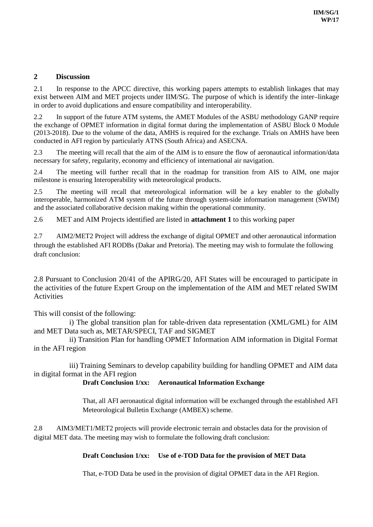# **2 Discussion**

2.1 In response to the APCC directive, this working papers attempts to establish linkages that may exist between AIM and MET projects under IIM/SG. The purpose of which is identify the inter–linkage in order to avoid duplications and ensure compatibility and interoperability.

2.2 In support of the future ATM systems, the AMET Modules of the ASBU methodology GANP require the exchange of OPMET information in digital format during the implementation of ASBU Block 0 Module (2013-2018). Due to the volume of the data, AMHS is required for the exchange. Trials on AMHS have been conducted in AFI region by particularly ATNS (South Africa) and ASECNA.

2.3 The meeting will recall that the aim of the AIM is to ensure the flow of aeronautical information/data necessary for safety, regularity, economy and efficiency of international air navigation.

2.4 The meeting will further recall that in the roadmap for transition from AIS to AIM, one major milestone is ensuring Interoperability with meteorological products.

2.5 The meeting will recall that meteorological information will be a key enabler to the globally interoperable, harmonized ATM system of the future through system-side information management (SWIM) and the associated collaborative decision making within the operational community.

2.6 MET and AIM Projects identified are listed in **attachment 1** to this working paper

2.7 AIM2/MET2 Project will address the exchange of digital OPMET and other aeronautical information through the established AFI RODBs (Dakar and Pretoria). The meeting may wish to formulate the following draft conclusion:

2.8 Pursuant to Conclusion 20/41 of the APIRG/20, AFI States will be encouraged to participate in the activities of the future Expert Group on the implementation of the AIM and MET related SWIM Activities

This will consist of the following:

i) The global transition plan for table-driven data representation (XML/GML) for AIM and MET Data such as, METAR/SPECI, TAF and SIGMET

ii) Transition Plan for handling OPMET Information AIM information in Digital Format in the AFI region

iii) Training Seminars to develop capability building for handling OPMET and AIM data in digital format in the AFI region

**Draft Conclusion 1/xx: Aeronautical Information Exchange**

That, all AFI aeronautical digital information will be exchanged through the established AFI Meteorological Bulletin Exchange (AMBEX) scheme.

2.8 AIM3/MET1/MET2 projects will provide electronic terrain and obstacles data for the provision of digital MET data. The meeting may wish to formulate the following draft conclusion:

# **Draft Conclusion 1/xx: Use of e-TOD Data for the provision of MET Data**

That, e-TOD Data be used in the provision of digital OPMET data in the AFI Region.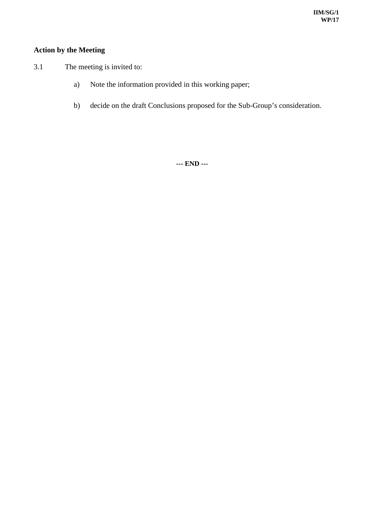# **Action by the Meeting**

- 3.1 The meeting is invited to:
	- a) Note the information provided in this working paper;
	- b) decide on the draft Conclusions proposed for the Sub-Group's consideration.

**--- END ---**